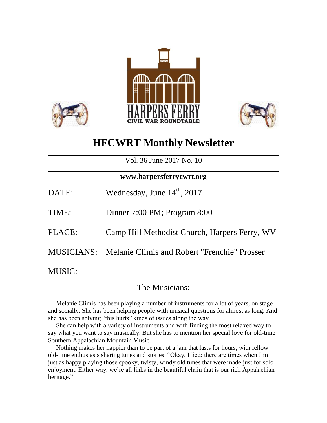



# **HFCWRT Monthly Newsletter**

Vol. 36 June 2017 No. 10

### **www.harpersferrycwrt.org**

| DATE: | Wednesday, June $14th$ , 2017 |
|-------|-------------------------------|
| TIME: | Dinner 7:00 PM; Program 8:00  |

- 
- PLACE: Camp Hill Methodist Church, Harpers Ferry, WV
- MUSICIANS: Melanie Climis and Robert "Frenchie" Prosser

MUSIC:

## The Musicians:

 Melanie Climis has been playing a number of instruments for a lot of years, on stage and socially. She has been helping people with musical questions for almost as long. And she has been solving "this hurts" kinds of issues along the way.

 She can help with a variety of instruments and with finding the most relaxed way to say what you want to say musically. But she has to mention her special love for old-time Southern Appalachian Mountain Music.

 Nothing makes her happier than to be part of a jam that lasts for hours, with fellow old-time enthusiasts sharing tunes and stories. "Okay, I lied: there are times when I'm just as happy playing those spooky, twisty, windy old tunes that were made just for solo enjoyment. Either way, we're all links in the beautiful chain that is our rich Appalachian heritage."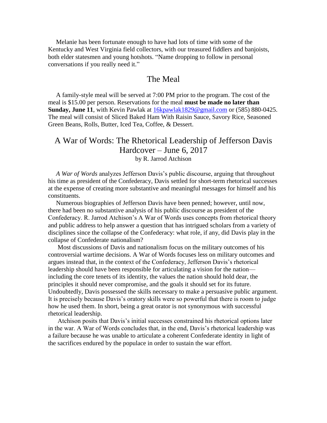Melanie has been fortunate enough to have had lots of time with some of the Kentucky and West Virginia field collectors, with our treasured fiddlers and banjoists, both elder statesmen and young hotshots. "Name dropping to follow in personal conversations if you really need it."

#### The Meal

 A family-style meal will be served at 7:00 PM prior to the program. The cost of the meal is \$15.00 per person. Reservations for the meal **must be made no later than Sunday, June 11**, with Kevin Pawlak at  $16k$ pawlak1829@gmail.com or (585) 880-0425. The meal will consist of Sliced Baked Ham With Raisin Sauce, Savory Rice, Seasoned Green Beans, Rolls, Butter, Iced Tea, Coffee, & Dessert.

#### A War of Words: The Rhetorical Leadership of Jefferson Davis Hardcover – June 6, 2017 by R. Jarrod Atchison

 *A War of Words* analyzes Jefferson Davis's public discourse, arguing that throughout his time as president of the Confederacy, Davis settled for short-term rhetorical successes at the expense of creating more substantive and meaningful messages for himself and his constituents.

 Numerous biographies of Jefferson Davis have been penned; however, until now, there had been no substantive analysis of his public discourse as president of the Confederacy. R. Jarrod Atchison's A War of Words uses concepts from rhetorical theory and public address to help answer a question that has intrigued scholars from a variety of disciplines since the collapse of the Confederacy: what role, if any, did Davis play in the collapse of Confederate nationalism?

 Most discussions of Davis and nationalism focus on the military outcomes of his controversial wartime decisions. A War of Words focuses less on military outcomes and argues instead that, in the context of the Confederacy, Jefferson Davis's rhetorical leadership should have been responsible for articulating a vision for the nation including the core tenets of its identity, the values the nation should hold dear, the principles it should never compromise, and the goals it should set for its future. Undoubtedly, Davis possessed the skills necessary to make a persuasive public argument. It is precisely because Davis's oratory skills were so powerful that there is room to judge how he used them. In short, being a great orator is not synonymous with successful rhetorical leadership.

 Atchison posits that Davis's initial successes constrained his rhetorical options later in the war. A War of Words concludes that, in the end, Davis's rhetorical leadership was a failure because he was unable to articulate a coherent Confederate identity in light of the sacrifices endured by the populace in order to sustain the war effort.